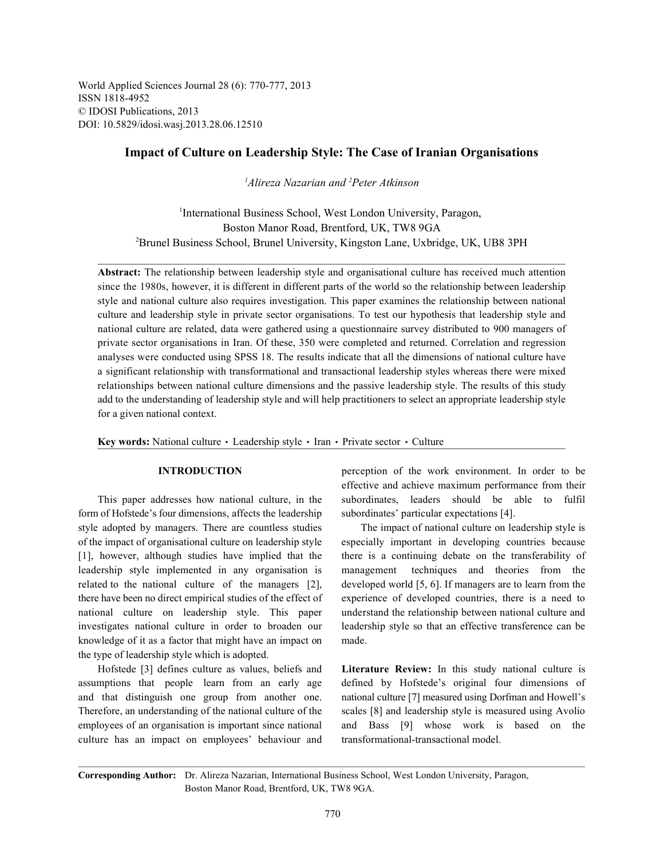World Applied Sciences Journal 28 (6): 770-777, 2013 ISSN 1818-4952 © IDOSI Publications, 2013 DOI: 10.5829/idosi.wasj.2013.28.06.12510

## **Impact of Culture on Leadership Style: The Case of Iranian Organisations**

*Alireza Nazarian and Peter Atkinson 1 2*

<sup>1</sup>International Business School, West London University, Paragon, Boston Manor Road, Brentford, UK, TW8 9GA Brunel Business School, Brunel University, Kingston Lane, Uxbridge, UK, UB8 3PH <sup>2</sup>

**Abstract:** The relationship between leadership style and organisational culture has received much attention since the 1980s, however, it is different in different parts of the world so the relationship between leadership style and national culture also requires investigation. This paper examines the relationship between national culture and leadership style in private sector organisations. To test our hypothesis that leadership style and national culture are related, data were gathered using a questionnaire survey distributed to 900 managers of private sector organisations in Iran. Of these, 350 were completed and returned. Correlation and regression analyses were conducted using SPSS 18. The results indicate that all the dimensions of national culture have a significant relationship with transformational and transactional leadership styles whereas there were mixed relationships between national culture dimensions and the passive leadership style. The results of this study add to the understanding of leadership style and will help practitioners to select an appropriate leadership style for a given national context.

Key words: National culture · Leadership style · Iran · Private sector · Culture

form of Hofstede's four dimensions, affects the leadership subordinates' particular expectations [4]. style adopted by managers. There are countless studies The impact of national culture on leadership style is of the impact of organisational culture on leadership style especially important in developing countries because [1], however, although studies have implied that the there is a continuing debate on the transferability of leadership style implemented in any organisation is management techniques and theories from the related to the national culture of the managers [2], developed world [5, 6]. If managers are to learn from the there have been no direct empirical studies of the effect of experience of developed countries, there is a need to national culture on leadership style. This paper understand the relationship between national culture and investigates national culture in order to broaden our leadership style so that an effective transference can be knowledge of it as a factor that might have an impact on made. the type of leadership style which is adopted.

assumptions that people learn from an early age defined by Hofstede's original four dimensions of and that distinguish one group from another one. national culture [7] measured using Dorfman and Howell's Therefore, an understanding of the national culture of the scales [8] and leadership style is measured using Avolio employees of an organisation is important since national and Bass [9] whose work is based on the culture has an impact on employees' behaviour and transformational-transactional model.

**INTRODUCTION** perception of the work environment. In order to be This paper addresses how national culture, in the subordinates, leaders should be able to fulfil effective and achieve maximum performance from their

Hofstede [3] defines culture as values, beliefs and **Literature Review:** In this study national culture is

**Corresponding Author:** Dr. Alireza Nazarian, International Business School, West London University, Paragon, Boston Manor Road, Brentford, UK, TW8 9GA.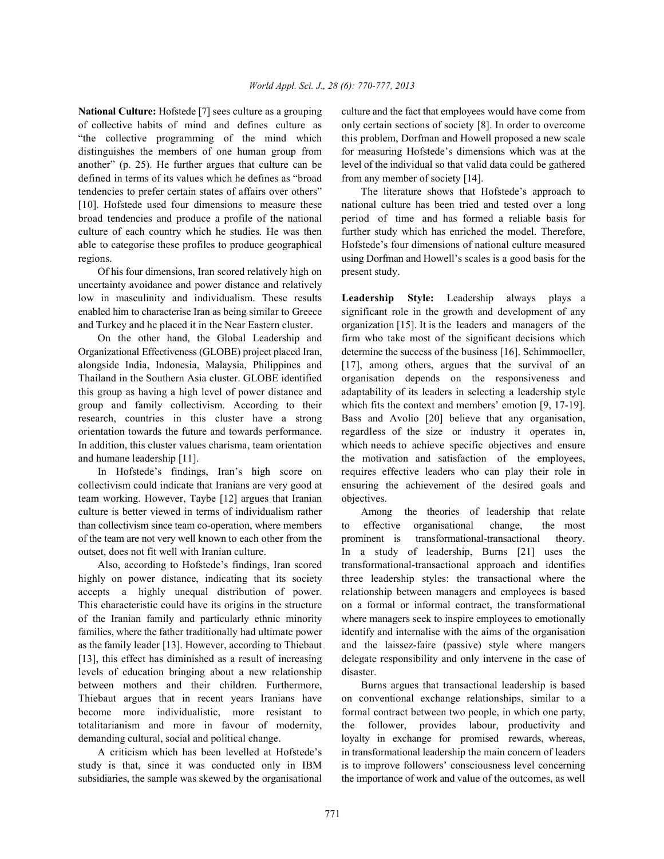of collective habits of mind and defines culture as only certain sections of society [8]. In order to overcome "the collective programming of the mind which this problem, Dorfman and Howell proposed a new scale distinguishes the members of one human group from for measuring Hofstede's dimensions which was at the another" (p. 25). He further argues that culture can be level of the individual so that valid data could be gathered defined in terms of its values which he defines as "broad from any member of society [14]. tendencies to prefer certain states of affairs over others" The literature shows that Hofstede's approach to [10]. Hofstede used four dimensions to measure these national culture has been tried and tested over a long broad tendencies and produce a profile of the national period of time and has formed a reliable basis for culture of each country which he studies. He was then further study which has enriched the model. Therefore, able to categorise these profiles to produce geographical Hofstede's four dimensions of national culture measured regions. using Dorfman and Howell's scales is a good basis for the

Of his four dimensions, Iran scored relatively high on present study. uncertainty avoidance and power distance and relatively low in masculinity and individualism. These results **Leadership Style:** Leadership always plays a enabled him to characterise Iran as being similar to Greece significant role in the growth and development of any and Turkey and he placed it in the Near Eastern cluster. organization [15]. It is the leaders and managers of the

Organizational Effectiveness (GLOBE) project placed Iran, determine the success of the business [16]. Schimmoeller, alongside India, Indonesia, Malaysia, Philippines and [17], among others, argues that the survival of an Thailand in the Southern Asia cluster. GLOBE identified organisation depends on the responsiveness and this group as having a high level of power distance and adaptability of its leaders in selecting a leadership style group and family collectivism. According to their which fits the context and members' emotion [9, 17-19]. research, countries in this cluster have a strong Bass and Avolio [20] believe that any organisation, orientation towards the future and towards performance. regardless of the size or industry it operates in, In addition, this cluster values charisma, team orientation which needs to achieve specific objectives and ensure and humane leadership [11]. the motivation and satisfaction of the employees,

collectivism could indicate that Iranians are very good at ensuring the achievement of the desired goals and team working. However, Taybe [12] argues that Iranian objectives. culture is better viewed in terms of individualism rather Among the theories of leadership that relate than collectivism since team co-operation, where members to effective organisational change, the most of the team are not very well known to each other from the prominent is transformational-transactional theory. outset, does not fit well with Iranian culture. In a study of leadership, Burns [21] uses the

highly on power distance, indicating that its society three leadership styles: the transactional where the accepts a highly unequal distribution of power. relationship between managers and employees is based This characteristic could have its origins in the structure on a formal or informal contract, the transformational of the Iranian family and particularly ethnic minority where managers seek to inspire employees to emotionally families, where the father traditionally had ultimate power identify and internalise with the aims of the organisation as the family leader [13]. However, according to Thiebaut and the laissez-faire (passive) style where mangers [13], this effect has diminished as a result of increasing delegate responsibility and only intervene in the case of levels of education bringing about a new relationship disaster. between mothers and their children. Furthermore, Burns argues that transactional leadership is based Thiebaut argues that in recent years Iranians have on conventional exchange relationships, similar to a become more individualistic, more resistant to formal contract between two people, in which one party, totalitarianism and more in favour of modernity, the follower, provides labour, productivity and demanding cultural, social and political change. lovalty in exchange for promised rewards, whereas,

study is that, since it was conducted only in IBM is to improve followers' consciousness level concerning subsidiaries, the sample was skewed by the organisational the importance of work and value of the outcomes, as well

**National Culture:** Hofstede [7] sees culture as a grouping culture and the fact that employees would have come from

On the other hand, the Global Leadership and firm who take most of the significant decisions which In Hofstede's findings, Iran's high score on requires effective leaders who can play their role in

Also, according to Hofstede's findings, Iran scored transformational-transactional approach and identifies

A criticism which has been levelled at Hofstede's in transformational leadership the main concern of leaders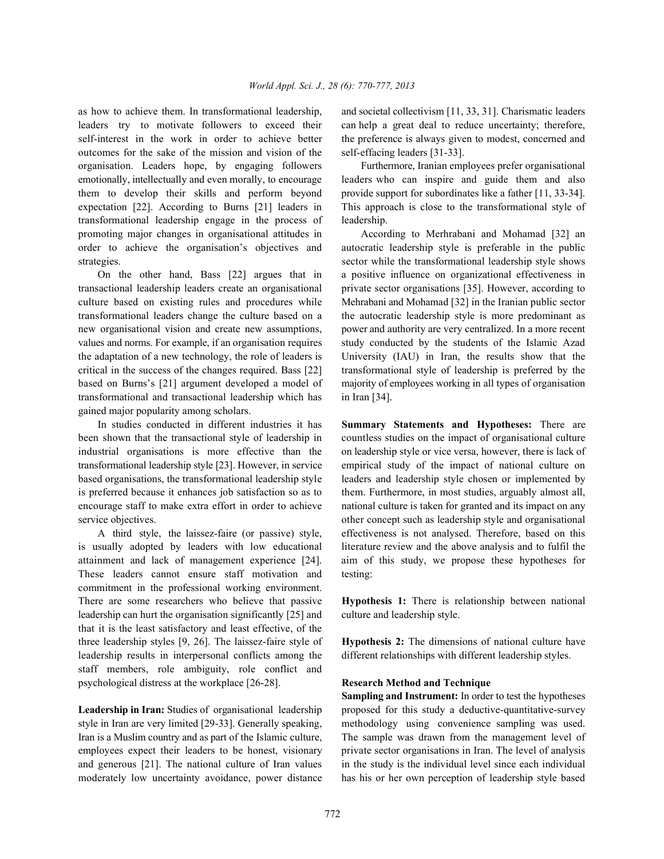leaders try to motivate followers to exceed their can help a great deal to reduce uncertainty; therefore, self-interest in the work in order to achieve better the preference is always given to modest, concerned and outcomes for the sake of the mission and vision of the self-effacing leaders [31-33]. organisation. Leaders hope, by engaging followers Furthermore, Iranian employees prefer organisational emotionally, intellectually and even morally, to encourage leaders who can inspire and guide them and also them to develop their skills and perform beyond provide support for subordinates like a father [11, 33-34]. expectation [22]. According to Burns [21] leaders in This approach is close to the transformational style of transformational leadership engage in the process of leadership. promoting major changes in organisational attitudes in According to Merhrabani and Mohamad [32] an order to achieve the organisation's objectives and autocratic leadership style is preferable in the public strategies. sector while the transformational leadership style shows

transactional leadership leaders create an organisational private sector organisations [35]. However, according to culture based on existing rules and procedures while Mehrabani and Mohamad [32] in the Iranian public sector transformational leaders change the culture based on a the autocratic leadership style is more predominant as new organisational vision and create new assumptions, power and authority are very centralized. In a more recent values and norms. For example, if an organisation requires study conducted by the students of the Islamic Azad the adaptation of a new technology, the role of leaders is University (IAU) in Iran, the results show that the critical in the success of the changes required. Bass [22] transformational style of leadership is preferred by the based on Burns's [21] argument developed a model of majority of employees working in all types of organisation transformational and transactional leadership which has in Iran [34]. gained major popularity among scholars.

been shown that the transactional style of leadership in countless studies on the impact of organisational culture industrial organisations is more effective than the on leadership style or vice versa, however, there is lack of transformational leadership style [23]. However, in service empirical study of the impact of national culture on based organisations, the transformational leadership style leaders and leadership style chosen or implemented by is preferred because it enhances job satisfaction so as to them. Furthermore, in most studies, arguably almost all, encourage staff to make extra effort in order to achieve national culture is taken for granted and its impact on any service objectives.  $\blacksquare$  other concept such as leadership style and organisational

is usually adopted by leaders with low educational literature review and the above analysis and to fulfil the attainment and lack of management experience [24]. aim of this study, we propose these hypotheses for These leaders cannot ensure staff motivation and testing: commitment in the professional working environment. There are some researchers who believe that passive **Hypothesis 1:** There is relationship between national leadership can hurt the organisation significantly [25] and culture and leadership style. that it is the least satisfactory and least effective, of the three leadership styles [9, 26]. The laissez-faire style of **Hypothesis 2:** The dimensions of national culture have leadership results in interpersonal conflicts among the different relationships with different leadership styles. staff members, role ambiguity, role conflict and psychological distress at the workplace [26-28]. **Research Method and Technique**

style in Iran are very limited [29-33]. Generally speaking, methodology using convenience sampling was used. Iran is a Muslim country and as part of the Islamic culture, The sample was drawn from the management level of employees expect their leaders to be honest, visionary private sector organisations in Iran. The level of analysis and generous [21]. The national culture of Iran values in the study is the individual level since each individual moderately low uncertainty avoidance, power distance has his or her own perception of leadership style based

as how to achieve them. In transformational leadership, and societal collectivism [11, 33, 31]. Charismatic leaders

On the other hand, Bass [22] argues that in a positive influence on organizational effectiveness in

In studies conducted in different industries it has **Summary Statements and Hypotheses:** There are A third style, the laissez-faire (or passive) style, effectiveness is not analysed. Therefore, based on this

Leadership in Iran: Studies of organisational leadership proposed for this study a deductive-quantitative-survey **Sampling and Instrument:** In order to test the hypotheses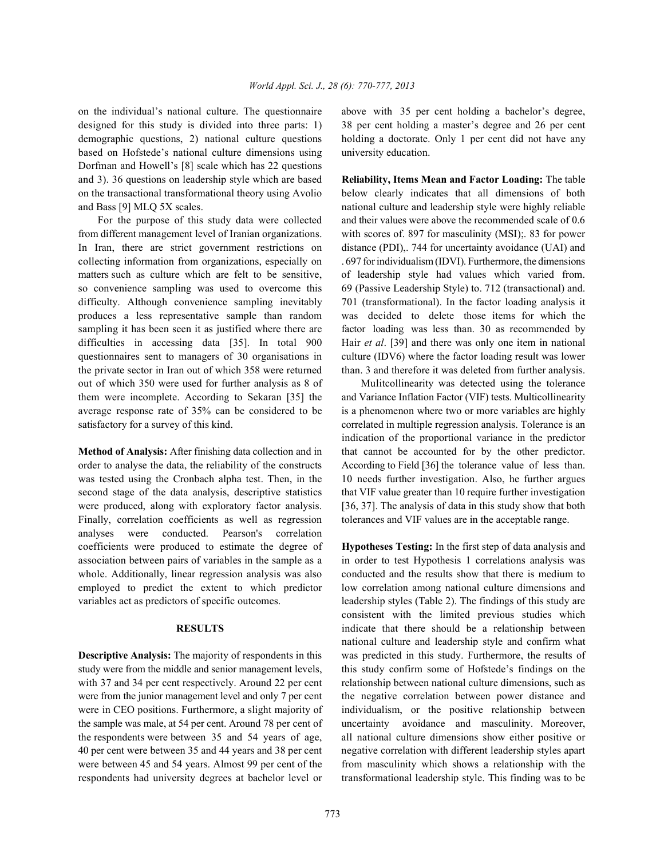designed for this study is divided into three parts: 1) 38 per cent holding a master's degree and 26 per cent demographic questions, 2) national culture questions holding a doctorate. Only 1 per cent did not have any based on Hofstede's national culture dimensions using university education. Dorfman and Howell's [8] scale which has 22 questions and 3). 36 questions on leadership style which are based **Reliability, Items Mean and Factor Loading:** The table on the transactional transformational theory using Avolio below clearly indicates that all dimensions of both and Bass [9] MLQ 5X scales. national culture and leadership style were highly reliable

from different management level of Iranian organizations. with scores of. 897 for masculinity (MSI);. 83 for power In Iran, there are strict government restrictions on distance (PDI), 744 for uncertainty avoidance (UAI) and collecting information from organizations, especially on . 697 for individualism (IDVI). Furthermore, the dimensions matters such as culture which are felt to be sensitive, of leadership style had values which varied from. so convenience sampling was used to overcome this 69 (Passive Leadership Style) to. 712 (transactional) and. difficulty. Although convenience sampling inevitably 701 (transformational). In the factor loading analysis it produces a less representative sample than random was decided to delete those items for which the sampling it has been seen it as justified where there are factor loading was less than. 30 as recommended by difficulties in accessing data [35]. In total 900 Hair *et al*. [39] and there was only one item in national questionnaires sent to managers of 30 organisations in culture (IDV6) where the factor loading result was lower the private sector in Iran out of which 358 were returned than. 3 and therefore it was deleted from further analysis. out of which 350 were used for further analysis as 8 of Mulitcollinearity was detected using the tolerance them were incomplete. According to Sekaran [35] the and Variance Inflation Factor (VIF) tests. Multicollinearity average response rate of 35% can be considered to be is a phenomenon where two or more variables are highly satisfactory for a survey of this kind. correlated in multiple regression analysis. Tolerance is an

order to analyse the data, the reliability of the constructs According to Field [36] the tolerance value of less than. was tested using the Cronbach alpha test. Then, in the 10 needs further investigation. Also, he further argues second stage of the data analysis, descriptive statistics that VIF value greater than 10 require further investigation were produced, along with exploratory factor analysis. [36, 37]. The analysis of data in this study show that both Finally, correlation coefficients as well as regression tolerances and VIF values are in the acceptable range. analyses were conducted. Pearson's correlation coefficients were produced to estimate the degree of **Hypotheses Testing:** In the first step of data analysis and association between pairs of variables in the sample as a in order to test Hypothesis 1 correlations analysis was whole. Additionally, linear regression analysis was also conducted and the results show that there is medium to employed to predict the extent to which predictor low correlation among national culture dimensions and variables act as predictors of specific outcomes. leadership styles (Table 2). The findings of this study are

study were from the middle and senior management levels, this study confirm some of Hofstede's findings on the with 37 and 34 per cent respectively. Around 22 per cent relationship between national culture dimensions, such as were from the junior management level and only 7 per cent the negative correlation between power distance and were in CEO positions. Furthermore, a slight majority of individualism, or the positive relationship between the sample was male, at 54 per cent. Around 78 per cent of uncertainty avoidance and masculinity. Moreover, the respondents were between 35 and 54 years of age, all national culture dimensions show either positive or 40 per cent were between 35 and 44 years and 38 per cent negative correlation with different leadership styles apart were between 45 and 54 years. Almost 99 per cent of the from masculinity which shows a relationship with the respondents had university degrees at bachelor level or transformational leadership style. This finding was to be

on the individual's national culture. The questionnaire above with 35 per cent holding a bachelor's degree,

For the purpose of this study data were collected and their values were above the recommended scale of 0.6

**Method of Analysis:** After finishing data collection and in that cannot be accounted for by the other predictor. indication of the proportional variance in the predictor

**RESULTS** indicate that there should be a relationship between **Descriptive Analysis:** The majority of respondents in this was predicted in this study. Furthermore, the results of consistent with the limited previous studies which national culture and leadership style and confirm what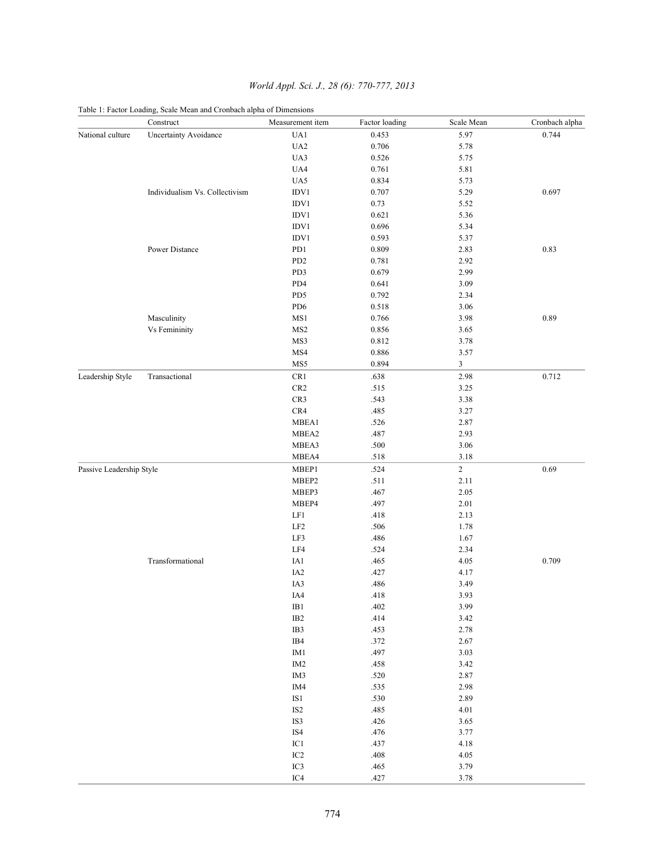|                          | Table 1: Factor Loading, Scale Mean and Cronbach alpha of Dimensions |                  |                |            |                |
|--------------------------|----------------------------------------------------------------------|------------------|----------------|------------|----------------|
|                          | Construct                                                            | Measurement item | Factor loading | Scale Mean | Cronbach alpha |
| National culture         | <b>Uncertainty Avoidance</b>                                         | UA1              | 0.453          | 5.97       | 0.744          |
|                          |                                                                      | UA <sub>2</sub>  | 0.706          | 5.78       |                |
|                          |                                                                      | UA3              | 0.526          | 5.75       |                |
|                          |                                                                      | UA4              | 0.761          | 5.81       |                |
|                          |                                                                      | UA5              | 0.834          | 5.73       |                |
|                          | Individualism Vs. Collectivism                                       | IDV1             | 0.707          | 5.29       | 0.697          |
|                          |                                                                      | IDV1             | 0.73           | 5.52       |                |
|                          |                                                                      | IDV1             | 0.621          | 5.36       |                |
|                          |                                                                      | IDV1             | 0.696          | 5.34       |                |
|                          |                                                                      | IDV1             | 0.593          | 5.37       |                |
|                          | Power Distance                                                       | PD1              | 0.809          | 2.83       | 0.83           |
|                          |                                                                      | PD <sub>2</sub>  | 0.781          | 2.92       |                |
|                          |                                                                      | PD3              | 0.679          | 2.99       |                |
|                          |                                                                      | PD4              | 0.641          | 3.09       |                |
|                          |                                                                      | PD5              | 0.792          | 2.34       |                |
|                          |                                                                      | PD <sub>6</sub>  | 0.518          | 3.06       |                |
|                          | Masculinity                                                          | MS1              | 0.766          | 3.98       | 0.89           |
|                          | Vs Femininity                                                        | MS <sub>2</sub>  | 0.856          | 3.65       |                |
|                          |                                                                      | MS3              | 0.812          | 3.78       |                |
|                          |                                                                      | MS4              | 0.886          | 3.57       |                |
|                          |                                                                      | MS5              | 0.894          | 3          |                |
| Leadership Style         | Transactional                                                        | CR1              | .638           | 2.98       | 0.712          |
|                          |                                                                      | CR <sub>2</sub>  | .515           | 3.25       |                |
|                          |                                                                      | CR3              | .543           | 3.38       |                |
|                          |                                                                      | CR4              | .485           | 3.27       |                |
|                          |                                                                      | MBEA1            | .526           | 2.87       |                |
|                          |                                                                      | MBEA2            | .487           | 2.93       |                |
|                          |                                                                      | MBEA3            | .500           | 3.06       |                |
|                          |                                                                      | MBEA4            | .518           | 3.18       |                |
| Passive Leadership Style |                                                                      | MBEP1            | .524           | $\sqrt{2}$ | 0.69           |
|                          |                                                                      | MBEP2            | .511           | 2.11       |                |
|                          |                                                                      | MBEP3            | .467           | 2.05       |                |
|                          |                                                                      | MBEP4            | .497           | 2.01       |                |
|                          |                                                                      | LF1              | .418           | 2.13       |                |
|                          |                                                                      | LF <sub>2</sub>  | .506           | 1.78       |                |
|                          |                                                                      | LF3              | .486           | 1.67       |                |
|                          |                                                                      | LF4              | .524           | 2.34       |                |
|                          | Transformational                                                     | IA1              | .465           | 4.05       | 0.709          |
|                          |                                                                      | IA <sub>2</sub>  | .427           | 4.17       |                |
|                          |                                                                      | IA3              | .486           | 3.49       |                |
|                          |                                                                      | IA4              | .418           | 3.93       |                |
|                          |                                                                      | $IB1$            | .402           | 3.99       |                |
|                          |                                                                      | $IB2$            | .414           | 3.42       |                |
|                          |                                                                      | IB3              | .453           | 2.78       |                |
|                          |                                                                      | IB4              | .372           | 2.67       |                |
|                          |                                                                      | IM1              | .497           | 3.03       |                |
|                          |                                                                      | IM <sub>2</sub>  | .458           | 3.42       |                |
|                          |                                                                      | IM3              | $.520\,$       | 2.87       |                |
|                          |                                                                      | IM4              | .535           | 2.98       |                |
|                          |                                                                      | $IS1$            | .530           | 2.89       |                |
|                          |                                                                      | IS <sub>2</sub>  | .485           | $4.01\,$   |                |
|                          |                                                                      | IS3              | .426           | 3.65       |                |
|                          |                                                                      | IS4              | .476           | 3.77       |                |
|                          |                                                                      | IC1              | .437           | 4.18       |                |
|                          |                                                                      | IC <sub>2</sub>  | $.408$         | 4.05       |                |
|                          |                                                                      | IC3              | .465           | 3.79       |                |
|                          |                                                                      | IC4              | .427           | 3.78       |                |

# *World Appl. Sci. J., 28 (6): 770-777, 2013*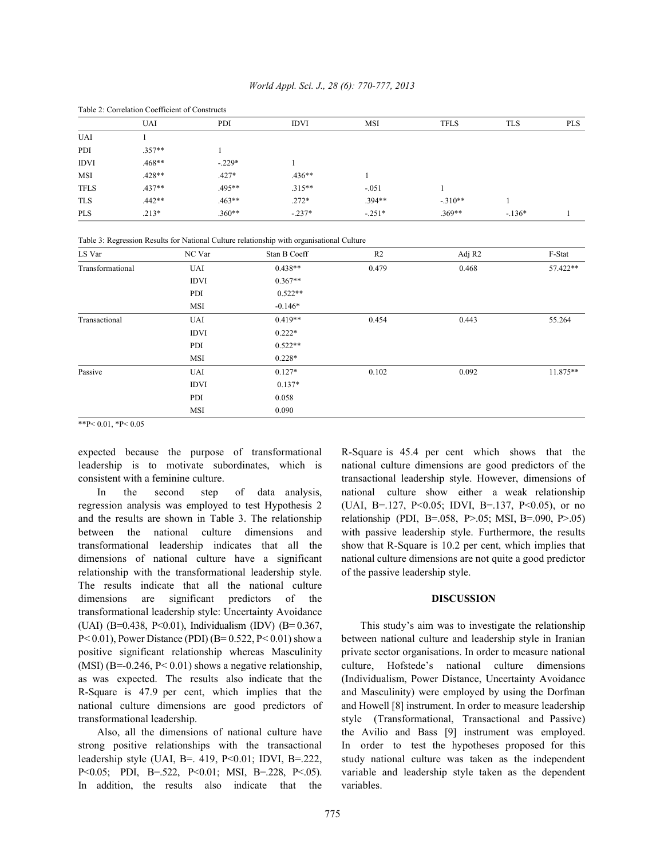|             | Table 2. Contration Cochicient of Constructs |          |             |            |             |            |            |  |  |
|-------------|----------------------------------------------|----------|-------------|------------|-------------|------------|------------|--|--|
|             | UAI                                          | PDI      | <b>IDVI</b> | <b>MSI</b> | <b>TFLS</b> | <b>TLS</b> | <b>PLS</b> |  |  |
| <b>UAI</b>  |                                              |          |             |            |             |            |            |  |  |
| PDI         | $.357**$                                     |          |             |            |             |            |            |  |  |
| <b>IDVI</b> | .468**                                       | $-229*$  |             |            |             |            |            |  |  |
| <b>MSI</b>  | $.428**$                                     | $.427*$  | $.436**$    |            |             |            |            |  |  |
| <b>TFLS</b> | $.437**$                                     | $.495**$ | $.315**$    | $-.051$    |             |            |            |  |  |
| <b>TLS</b>  | $.442**$                                     | $.463**$ | $.272*$     | $.394**$   | $-.310**$   |            |            |  |  |
| <b>PLS</b>  | $.213*$                                      | $.360**$ | $-237*$     | $-.251*$   | .369**      | $-136*$    |            |  |  |
|             |                                              |          |             |            |             |            |            |  |  |

## *World Appl. Sci. J., 28 (6): 770-777, 2013*

Table 2: Correlation Coefficient of Constructs

Table 3: Regression Results for National Culture relationship with organisational Culture

| LS Var           | NC Var      | Stan B Coeff | R <sub>2</sub> | Adj R <sub>2</sub> | F-Stat   |
|------------------|-------------|--------------|----------------|--------------------|----------|
| Transformational | UAI         | $0.438**$    | 0.479          | 0.468              | 57.422** |
|                  | <b>IDVI</b> | $0.367**$    |                |                    |          |
|                  | PDI         | $0.522**$    |                |                    |          |
|                  | MSI         | $-0.146*$    |                |                    |          |
| Transactional    | <b>UAI</b>  | $0.419**$    | 0.454          | 0.443              | 55.264   |
|                  | <b>IDVI</b> | $0.222*$     |                |                    |          |
|                  | PDI         | $0.522**$    |                |                    |          |
|                  | MSI         | $0.228*$     |                |                    |          |
| Passive          | <b>UAI</b>  | $0.127*$     | 0.102          | 0.092              | 11.875** |
|                  | <b>IDVI</b> | $0.137*$     |                |                    |          |
|                  | PDI         | 0.058        |                |                    |          |
|                  | MSI         | 0.090        |                |                    |          |

\*\*P< $0.01$ , \*P< $0.05$ 

expected because the purpose of transformational R-Square is 45.4 per cent which shows that the leadership is to motivate subordinates, which is national culture dimensions are good predictors of the consistent with a feminine culture. transactional leadership style. However, dimensions of

regression analysis was employed to test Hypothesis 2 (UAI, B=.127, P<0.05; IDVI, B=.137, P<0.05), or no and the results are shown in Table 3. The relationship relationship (PDI, B=.058, P>.05; MSI, B=.090, P>.05) between the national culture dimensions and with passive leadership style. Furthermore, the results transformational leadership indicates that all the show that R-Square is 10.2 per cent, which implies that dimensions of national culture have a significant national culture dimensions are not quite a good predictor relationship with the transformational leadership style. of the passive leadership style. The results indicate that all the national culture dimensions are significant predictors of the **DISCUSSION** transformational leadership style: Uncertainty Avoidance (UAI) (B=0.438, P<0.01), Individualism (IDV) (B= 0.367, This study's aim was to investigate the relationship  $P< 0.01$ ), Power Distance (PDI) (B= 0.522, P< 0.01) show a between national culture and leadership style in Iranian positive significant relationship whereas Masculinity private sector organisations. In order to measure national (MSI) (B=-0.246, P< 0.01) shows a negative relationship, culture, Hofstede's national culture dimensions as was expected. The results also indicate that the (Individualism, Power Distance, Uncertainty Avoidance R-Square is 47.9 per cent, which implies that the and Masculinity) were employed by using the Dorfman national culture dimensions are good predictors of and Howell [8] instrument. In order to measure leadership transformational leadership. style (Transformational, Transactional and Passive)

strong positive relationships with the transactional In order to test the hypotheses proposed for this leadership style (UAI, B=. 419, P<0.01; IDVI, B=.222, study national culture was taken as the independent P<0.05; PDI, B=.522, P<0.01; MSI, B=.228, P<.05). variable and leadership style taken as the dependent In addition, the results also indicate that the variables.

In the second step of data analysis, national culture show either a weak relationship

Also, all the dimensions of national culture have the Avilio and Bass [9] instrument was employed.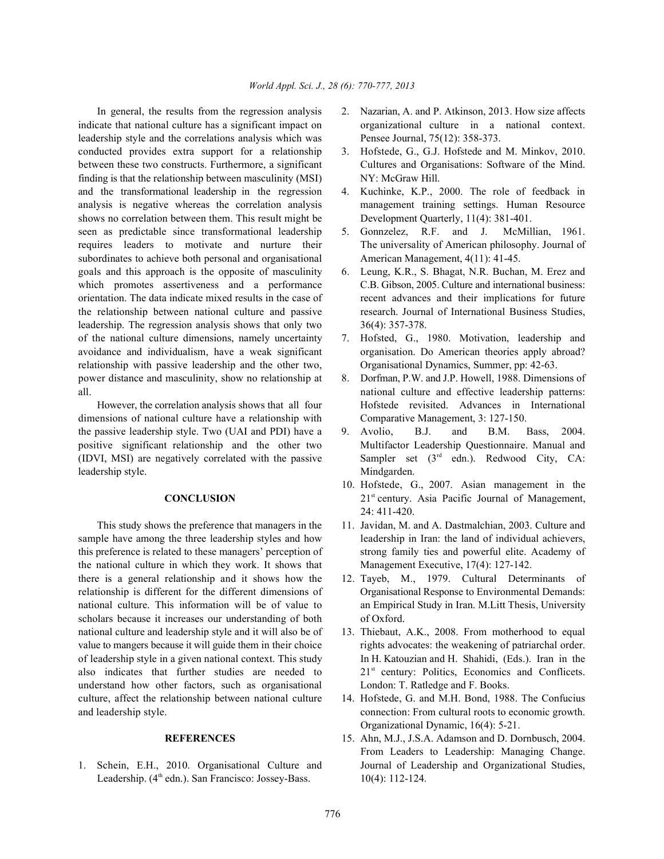indicate that national culture has a significant impact on organizational culture in a national context. leadership style and the correlations analysis which was Pensee Journal, 75(12): 358-373. conducted provides extra support for a relationship 3. Hofstede, G., G.J. Hofstede and M. Minkov, 2010. between these two constructs. Furthermore, a significant Cultures and Organisations: Software of the Mind. finding is that the relationship between masculinity (MSI) NY: McGraw Hill. and the transformational leadership in the regression 4. Kuchinke, K.P., 2000. The role of feedback in analysis is negative whereas the correlation analysis management training settings. Human Resource shows no correlation between them. This result might be Development Quarterly, 11(4): 381-401. seen as predictable since transformational leadership 5. Gonnzelez, R.F. and J. McMillian, 1961. requires leaders to motivate and nurture their The universality of American philosophy. Journal of subordinates to achieve both personal and organisational American Management,  $4(11)$ : 41-45. goals and this approach is the opposite of masculinity 6. Leung, K.R., S. Bhagat, N.R. Buchan, M. Erez and which promotes assertiveness and a performance C.B. Gibson, 2005. Culture and international business: orientation. The data indicate mixed results in the case of recent advances and their implications for future the relationship between national culture and passive research. Journal of International Business Studies, leadership. The regression analysis shows that only two 36(4): 357-378. of the national culture dimensions, namely uncertainty 7. Hofsted, G., 1980. Motivation, leadership and avoidance and individualism, have a weak significant organisation. Do American theories apply abroad? relationship with passive leadership and the other two, Organisational Dynamics, Summer, pp: 42-63. power distance and masculinity, show no relationship at 8. Dorfman, P.W. and J.P. Howell, 1988. Dimensions of all. national culture and effective leadership patterns:

dimensions of national culture have a relationship with Comparative Management, 3: 127-150. the passive leadership style. Two (UAI and PDI) have a 9. Avolio, B.J. and B.M. Bass, 2004. positive significant relationship and the other two Multifactor Leadership Questionnaire. Manual and (IDVI, MSI) are negatively correlated with the passive leadership style. Mindgarden.

sample have among the three leadership styles and how leadership in Iran: the land of individual achievers, this preference is related to these managers' perception of strong family ties and powerful elite. Academy of the national culture in which they work. It shows that Management Executive, 17(4): 127-142. there is a general relationship and it shows how the 12. Tayeb, M., 1979. Cultural Determinants of relationship is different for the different dimensions of Organisational Response to Environmental Demands: national culture. This information will be of value to an Empirical Study in Iran. M.Litt Thesis, University scholars because it increases our understanding of both of Oxford. national culture and leadership style and it will also be of 13. Thiebaut, A.K., 2008. From motherhood to equal value to mangers because it will guide them in their choice rights advocates: the weakening of patriarchal order. of leadership style in a given national context. This study In H. Katouzian and H. Shahidi, (Eds.). Iran in the also indicates that further studies are needed to  $21<sup>st</sup>$  century: Politics, Economics and Conflicets. understand how other factors, such as organisational London: T. Ratledge and F. Books. culture, affect the relationship between national culture 14. Hofstede, G. and M.H. Bond, 1988. The Confucius and leadership style. connection: From cultural roots to economic growth.

Leadership.  $(4^{\text{th}}$  edn.). San Francisco: Jossey-Bass.  $10(4)$ : 112-124.

- In general, the results from the regression analysis 2. Nazarian, A. and P. Atkinson, 2013. How size affects
	-
	-
	-
	-
	-
- However, the correlation analysis shows that all four Hofstede revisited. Advances in International
	- Sampler set  $(3<sup>rd</sup>$  edn.). Redwood City, CA:
	- **CONCLUSION** 21<sup>st</sup> century. Asia Pacific Journal of Management, 10. Hofstede, G., 2007. Asian management in the 24: 411-420.
- This study shows the preference that managers in the 11. Javidan, M. and A. Dastmalchian, 2003. Culture and
	-
	-
	- Organizational Dynamic, 16(4): 5-21.
- **REFERENCES** 15. Ahn, M.J., J.S.A. Adamson and D. Dornbusch, 2004. 1. Schein, E.H., 2010. Organisational Culture and Journal of Leadership and Organizational Studies, From Leaders to Leadership: Managing Change.